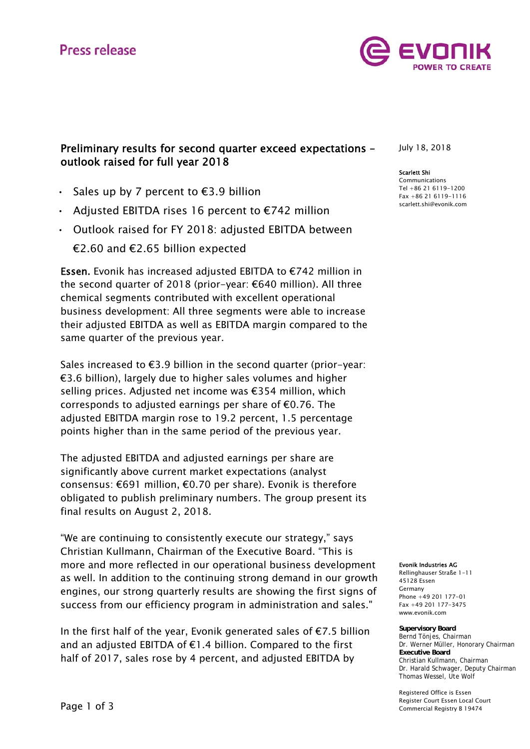# **Press release**



## Preliminary results for second quarter exceed expectations – outlook raised for full year 2018

- Sales up by 7 percent to  $\epsilon$ 3.9 billion
- Adjusted EBITDA rises 16 percent to €742 million
- Outlook raised for FY 2018: adjusted EBITDA between

€2.60 and €2.65 billion expected

Essen. Evonik has increased adjusted EBITDA to €742 million in the second quarter of 2018 (prior-year: €640 million). All three chemical segments contributed with excellent operational business development: All three segments were able to increase their adjusted EBITDA as well as EBITDA margin compared to the same quarter of the previous year.

Sales increased to €3.9 billion in the second quarter (prior-year: €3.6 billion), largely due to higher sales volumes and higher selling prices. Adjusted net income was €354 million, which corresponds to adjusted earnings per share of  $\epsilon$ 0.76. The adjusted EBITDA margin rose to 19.2 percent, 1.5 percentage points higher than in the same period of the previous year.

The adjusted EBITDA and adjusted earnings per share are significantly above current market expectations (analyst consensus: €691 million, €0.70 per share). Evonik is therefore obligated to publish preliminary numbers. The group present its final results on August 2, 2018.

"We are continuing to consistently execute our strategy," says Christian Kullmann, Chairman of the Executive Board. "This is more and more reflected in our operational business development as well. In addition to the continuing strong demand in our growth engines, our strong quarterly results are showing the first signs of success from our efficiency program in administration and sales."

In the first half of the year, Evonik generated sales of  $E$ 7.5 billion and an adjusted EBITDA of  $E1.4$  billion. Compared to the first half of 2017, sales rose by 4 percent, and adjusted EBITDA by

July 18, 2018

#### Scarlett Shi

Communications Tel +86 21 6119-1200 Fax +86 21 6119-1116 scarlett.shi@evonik.com

Evonik Industries AG

Rellinghauser Straße 1-11 45128 Essen Germany Phone +49 201 177-01 Fax +49 201 177-3475 www.evonik.com

**Supervisory Board** Bernd Tönjes, Chairman Dr. Werner Müller, Honorary Chairman **Executive Board** Christian Kullmann, Chairman Dr. Harald Schwager, Deputy Chairman Thomas Wessel, Ute Wolf

Registered Office is Essen Register Court Essen Local Court Commercial Registry B 19474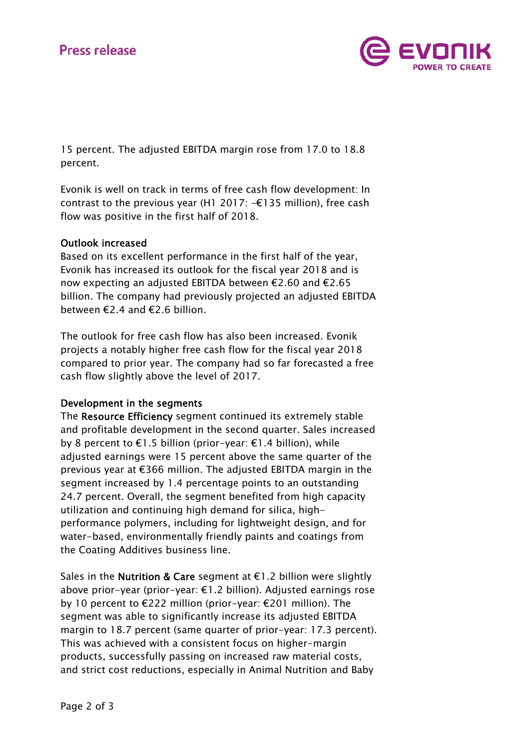

15 percent. The adjusted EBITDA margin rose from 17.0 to 18.8 percent.

Evonik is well on track in terms of free cash flow development: In contrast to the previous year (H1 2017:  $-\epsilon$ 135 million), free cash flow was positive in the first half of 2018.

## Outlook increased

Based on its excellent performance in the first half of the year, Evonik has increased its outlook for the fiscal year 2018 and is now expecting an adjusted EBITDA between €2.60 and €2.65 billion. The company had previously projected an adjusted EBITDA between €2.4 and €2.6 billion.

The outlook for free cash flow has also been increased. Evonik projects a notably higher free cash flow for the fiscal year 2018 compared to prior year. The company had so far forecasted a free cash flow slightly above the level of 2017.

### Development in the segments

The Resource Efficiency segment continued its extremely stable and profitable development in the second quarter. Sales increased by 8 percent to €1.5 billion (prior-year: €1.4 billion), while adjusted earnings were 15 percent above the same quarter of the previous year at €366 million. The adjusted EBITDA margin in the segment increased by 1.4 percentage points to an outstanding 24.7 percent. Overall, the segment benefited from high capacity utilization and continuing high demand for silica, highperformance polymers, including for lightweight design, and for water-based, environmentally friendly paints and coatings from the Coating Additives business line.

Sales in the **Nutrition & Care** segment at €1.2 billion were slightly above prior-year (prior-year: €1.2 billion). Adjusted earnings rose by 10 percent to €222 million (prior-year: €201 million). The segment was able to significantly increase its adjusted EBITDA margin to 18.7 percent (same quarter of prior-year: 17.3 percent). This was achieved with a consistent focus on higher-margin products, successfully passing on increased raw material costs, and strict cost reductions, especially in Animal Nutrition and Baby